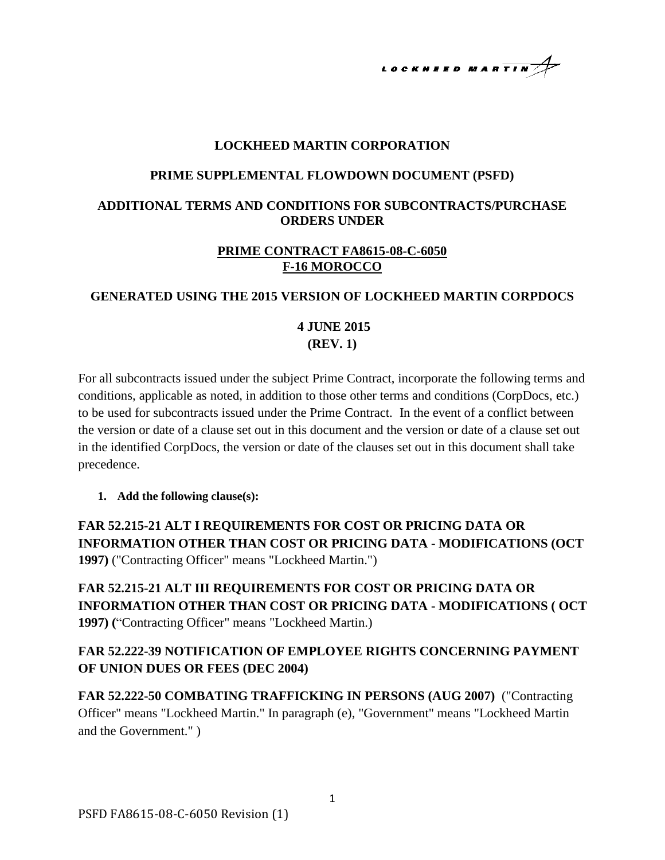LOCKHEED MARTIN

#### **LOCKHEED MARTIN CORPORATION**

#### **PRIME SUPPLEMENTAL FLOWDOWN DOCUMENT (PSFD)**

#### **ADDITIONAL TERMS AND CONDITIONS FOR SUBCONTRACTS/PURCHASE ORDERS UNDER**

#### **PRIME CONTRACT FA8615-08-C-6050 F-16 MOROCCO**

#### **GENERATED USING THE 2015 VERSION OF LOCKHEED MARTIN CORPDOCS**

### **4 JUNE 2015 (REV. 1)**

For all subcontracts issued under the subject Prime Contract, incorporate the following terms and conditions, applicable as noted, in addition to those other terms and conditions (CorpDocs, etc.) to be used for subcontracts issued under the Prime Contract. In the event of a conflict between the version or date of a clause set out in this document and the version or date of a clause set out in the identified CorpDocs, the version or date of the clauses set out in this document shall take precedence.

**1. Add the following clause(s):**

**FAR 52.215-21 ALT I REQUIREMENTS FOR COST OR PRICING DATA OR INFORMATION OTHER THAN COST OR PRICING DATA - MODIFICATIONS (OCT 1997)** ("Contracting Officer" means "Lockheed Martin.")

**FAR 52.215-21 ALT III REQUIREMENTS FOR COST OR PRICING DATA OR INFORMATION OTHER THAN COST OR PRICING DATA - MODIFICATIONS ( OCT 1997) (**"Contracting Officer" means "Lockheed Martin.)

### **FAR 52.222-39 NOTIFICATION OF EMPLOYEE RIGHTS CONCERNING PAYMENT OF UNION DUES OR FEES (DEC 2004)**

**FAR 52.222-50 COMBATING TRAFFICKING IN PERSONS (AUG 2007)** ("Contracting Officer" means "Lockheed Martin." In paragraph (e), "Government" means "Lockheed Martin and the Government." )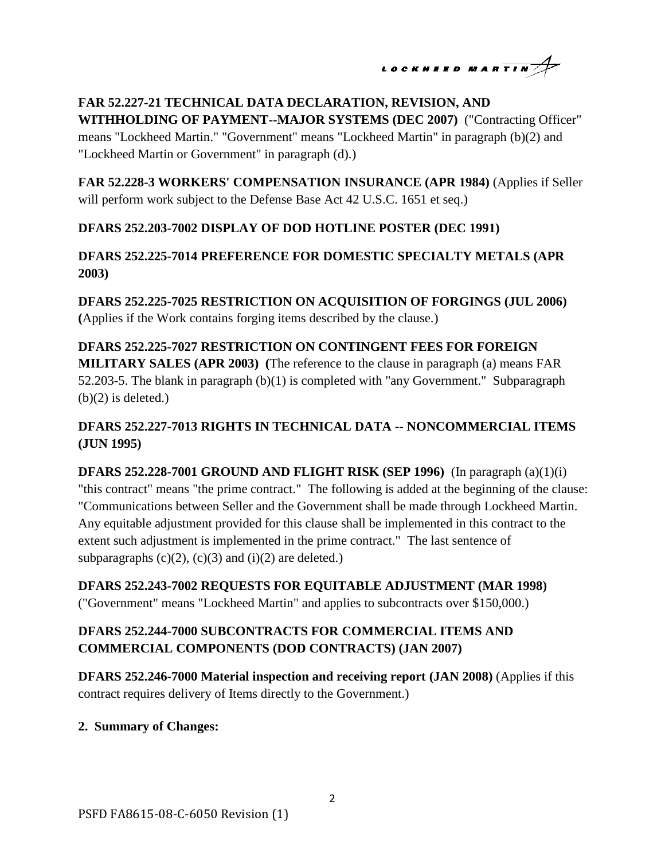$$
\begin{array}{c}\n\text{LocKHEED MARTIN} \longrightarrow\n\end{array}
$$

### **FAR 52.227-21 TECHNICAL DATA DECLARATION, REVISION, AND WITHHOLDING OF PAYMENT--MAJOR SYSTEMS (DEC 2007)** ("Contracting Officer"

means "Lockheed Martin." "Government" means "Lockheed Martin" in paragraph (b)(2) and "Lockheed Martin or Government" in paragraph (d).)

**FAR 52.228-3 WORKERS' COMPENSATION INSURANCE (APR 1984)** (Applies if Seller will perform work subject to the Defense Base Act 42 U.S.C. 1651 et seq.)

# **DFARS 252.203-7002 DISPLAY OF DOD HOTLINE POSTER (DEC 1991)**

### **DFARS 252.225-7014 PREFERENCE FOR DOMESTIC SPECIALTY METALS (APR 2003)**

**DFARS 252.225-7025 RESTRICTION ON ACQUISITION OF FORGINGS (JUL 2006) (**Applies if the Work contains forging items described by the clause.)

**DFARS 252.225-7027 RESTRICTION ON CONTINGENT FEES FOR FOREIGN MILITARY SALES (APR 2003) (**The reference to the clause in paragraph (a) means FAR 52.203-5. The blank in paragraph (b)(1) is completed with "any Government." Subparagraph  $(b)(2)$  is deleted.)

# **DFARS 252.227-7013 RIGHTS IN TECHNICAL DATA -- NONCOMMERCIAL ITEMS (JUN 1995)**

**DFARS 252.228-7001 GROUND AND FLIGHT RISK (SEP 1996)** (In paragraph (a)(1)(i) "this contract" means "the prime contract." The following is added at the beginning of the clause: "Communications between Seller and the Government shall be made through Lockheed Martin. Any equitable adjustment provided for this clause shall be implemented in this contract to the extent such adjustment is implemented in the prime contract." The last sentence of subparagraphs  $(c)(2)$ ,  $(c)(3)$  and  $(i)(2)$  are deleted.)

**DFARS 252.243-7002 REQUESTS FOR EQUITABLE ADJUSTMENT (MAR 1998)**  ("Government" means "Lockheed Martin" and applies to subcontracts over \$150,000.)

# **DFARS 252.244-7000 SUBCONTRACTS FOR COMMERCIAL ITEMS AND COMMERCIAL COMPONENTS (DOD CONTRACTS) (JAN 2007)**

**DFARS 252.246-7000 Material inspection and receiving report (JAN 2008)** (Applies if this contract requires delivery of Items directly to the Government.)

### **2. Summary of Changes:**